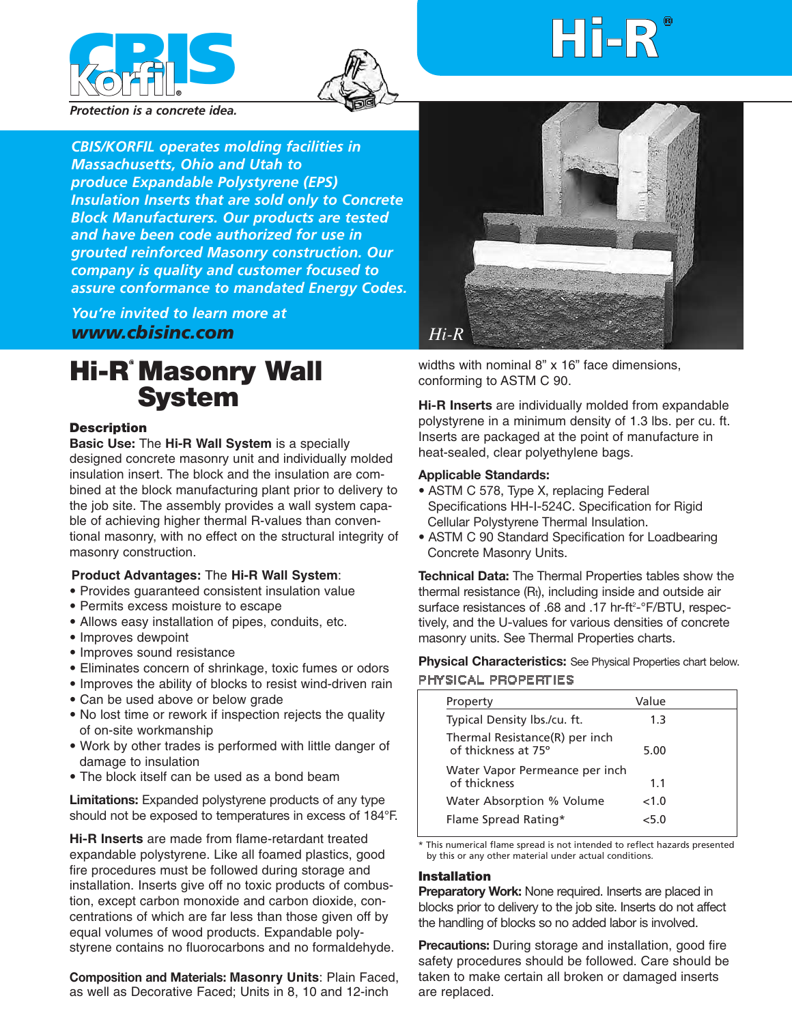



# ¨ **Hi-R**

*Protection is a concrete idea.*

*CBIS/KORFIL operates molding facilities in Massachusetts, Ohio and Utah to produce Expandable Polystyrene (EPS) Insulation Inserts that are sold only to Concrete Block Manufacturers. Our products are tested and have been code authorized for use in grouted reinforced Masonry construction. Our company is quality and customer focused to assure conformance to mandated Energy Codes.*

*You're invited to learn more at www.cbisinc.com*

# **Hi-R Masonry Wall System**

#### **Description**

**Basic Use:** The **Hi-R Wall System** is a specially designed concrete masonry unit and individually molded insulation insert. The block and the insulation are combined at the block manufacturing plant prior to delivery to the job site. The assembly provides a wall system capable of achieving higher thermal R-values than conventional masonry, with no effect on the structural integrity of masonry construction.

### **Product Advantages:** The **Hi-R Wall System**:

- Provides guaranteed consistent insulation value
- Permits excess moisture to escape
- Allows easy installation of pipes, conduits, etc.
- Improves dewpoint
- Improves sound resistance
- Eliminates concern of shrinkage, toxic fumes or odors
- Improves the ability of blocks to resist wind-driven rain
- Can be used above or below grade
- No lost time or rework if inspection rejects the quality of on-site workmanship
- Work by other trades is performed with little danger of damage to insulation
- The block itself can be used as a bond beam

**Limitations:** Expanded polystyrene products of any type should not be exposed to temperatures in excess of 184°F.

**Hi-R Inserts** are made from flame-retardant treated expandable polystyrene. Like all foamed plastics, good fire procedures must be followed during storage and installation. Inserts give off no toxic products of combustion, except carbon monoxide and carbon dioxide, concentrations of which are far less than those given off by equal volumes of wood products. Expandable polystyrene contains no fluorocarbons and no formaldehyde.

**Composition and Materials: Masonry Units**: Plain Faced, as well as Decorative Faced; Units in 8, 10 and 12-inch



widths with nominal 8" x 16" face dimensions, conforming to ASTM C 90.

**Hi-R Inserts** are individually molded from expandable polystyrene in a minimum density of 1.3 lbs. per cu. ft. Inserts are packaged at the point of manufacture in heat-sealed, clear polyethylene bags.

#### **Applicable Standards:**

- ASTM C 578, Type X, replacing Federal Specifications HH-I-524C. Specification for Rigid Cellular Polystyrene Thermal Insulation.
- ASTM C 90 Standard Specification for Loadbearing Concrete Masonry Units.

**Technical Data:** The Thermal Properties tables show the thermal resistance (Rt), including inside and outside air surface resistances of .68 and .17 hr-ft<sup>2</sup>-°F/BTU, respectively, and the U-values for various densities of concrete masonry units. See Thermal Properties charts.

**Physical Characteristics:** See Physical Properties chart below. PHYSICAL PROPERTIES

| Property                                              | Value |
|-------------------------------------------------------|-------|
| Typical Density lbs./cu. ft.                          | 1.3   |
| Thermal Resistance(R) per inch<br>of thickness at 75° | 5.00  |
| Water Vapor Permeance per inch<br>of thickness        | 11    |
| Water Absorption % Volume                             | <1.0  |
| Flame Spread Rating*                                  | <5 በ  |

\* This numerical flame spread is not intended to reflect hazards presented by this or any other material under actual conditions.

#### **Installation**

**Preparatory Work:** None required. Inserts are placed in blocks prior to delivery to the job site. Inserts do not affect the handling of blocks so no added labor is involved.

**Precautions:** During storage and installation, good fire safety procedures should be followed. Care should be taken to make certain all broken or damaged inserts are replaced.